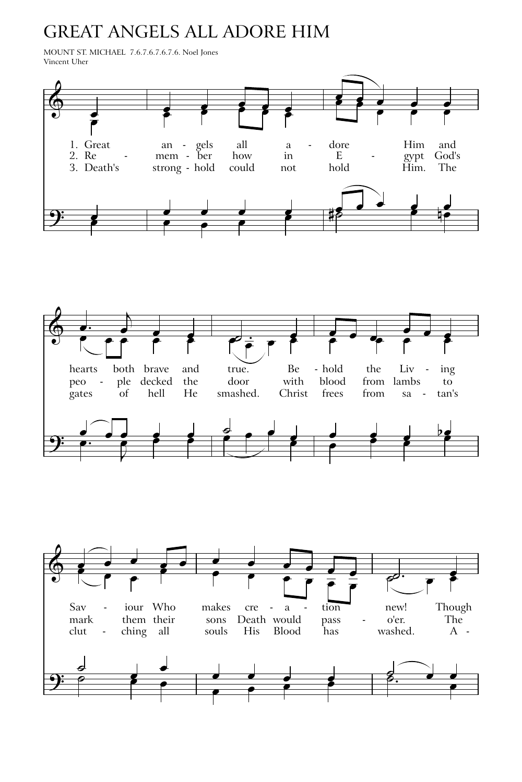## **GREAT ANGELS ALL ADORE HIM**

MOUNT ST. MICHAEL 7.6.7.6.7.6.7.6. Noel Jones Vincent Uher